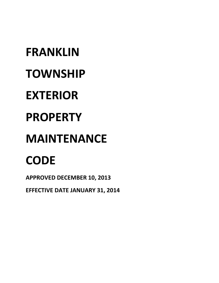# **FRANKLIN TOWNSHIP EXTERIOR PROPERTY MAINTENANCE CODE**

**APPROVED DECEMBER 10, 2013** 

**EFFECTIVE DATE JANUARY 31, 2014**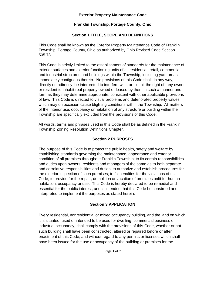## **Exterior Property Maintenance Code**

# **Franklin Township, Portage County, Ohio**

# **Section 1 TITLE, SCOPE AND DEFINITIONS**

This Code shall be known as the Exterior Property Maintenance Code of Franklin Township, Portage County, Ohio as authorized by Ohio Revised Code Section 505.73.

This Code is strictly limited to the establishment of standards for the maintenance of exterior surfaces and exterior functioning units of all residential, retail, commercial and industrial structures and buildings within the Township, including yard areas immediately contiguous thereto. No provisions of this Code shall, in any way, directly or indirectly, be interpreted to interfere with, or to limit the right of, any owner or resident to inhabit real property owned or leased by them in such a manner and form as they may determine appropriate, consistent with other applicable provisions of law. This Code is directed to visual problems and deteriorated property values which may on occasion cause blighting conditions within the Township. All matters of the interior use, occupancy or habitation of any structure or building within the Township are specifically excluded from the provisions of this Code.

All words, terms and phrases used in this Code shall be as defined in the Franklin Township Zoning Resolution Definitions Chapter.

## **Section 2 PURPOSES**

The purpose of this Code is to protect the public health, safety and welfare by establishing standards governing the maintenance, appearance and exterior condition of all premises throughout Franklin Township; to fix certain responsibilities and duties upon owners, residents and managers of the same as to both separate and correlative responsibilities and duties; to authorize and establish procedures for the exterior inspection of such premises; to fix penalties for the violations of this Code; to provide for the repair, demolition or vacation of premises unfit for human habitation, occupancy or use. This Code is hereby declared to be remedial and essential for the public interest, and is intended that this Code be construed and interpreted to implement the purposes as stated herein.

## **Section 3 APPLICATION**

Every residential, nonresidential or mixed occupancy building, and the land on which it is situated, used or intended to be used for dwelling, commercial business or industrial occupancy, shall comply with the provisions of this Code, whether or not such building shall have been constructed, altered or repaired before or after enactment of this Code, and without regard to any permits or licenses which shall have been issued for the use or occupancy of the building or premises for the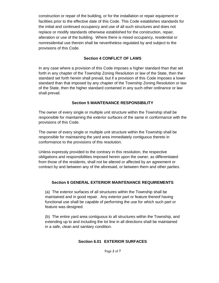construction or repair of the building, or for the installation or repair equipment or facilities prior to the effective date of this Code. This Code establishes standards for the initial and continued occupancy and use of all such structures and does not replace or modify standards otherwise established for the construction, repair, alteration or use of the building. Where there is mixed occupancy, residential or nonresidential use therein shall be nevertheless regulated by and subject to the provisions of this Code.

#### **Section 4 CONFLICT OF LAWS**

In any case where a provision of this Code imposes a higher standard than that set forth in any chapter of the Township Zoning Resolution or law of the State, then the standard set forth herein shall prevail, but if a provision of this Code imposes a lower standard than that imposed by any chapter of the Township Zoning Resolution or law of the State, then the higher standard contained in any such other ordinance or law shall prevail.

## **Section 5 MAINTENANCE RESPONSIBILITY**

The owner of every single or multiple unit structure within the Township shall be responsible for maintaining the exterior surfaces of the same in conformance with the provisions of this Code.

The owner of every single or multiple unit structure within the Township shall be responsible for maintaining the yard area immediately contiguous thereto in conformance to the provisions of this resolution.

Unless expressly provided to the contrary in this resolution, the respective obligations and responsibilities imposed herein upon the owner, as differentiated from those of the residents, shall not be altered or affected by an agreement or contract by and between any of the aforesaid, or between them and other parties.

## **Section 6 GENERAL EXTERIOR MAINTENANCE REQUIREMENTS**

(a) The exterior surfaces of all structures within the Township shall be maintained and in good repair. Any exterior part or feature thereof having functional use shall be capable of performing the use for which such part or feature was designed.

(b) The entire yard area contiguous to all structures within the Township, and extending up to and including the lot line in all directions shall be maintained in a safe, clean and sanitary condition.

## **Section 6.01 EXTERIOR SURFACES**

Page **2** of **7**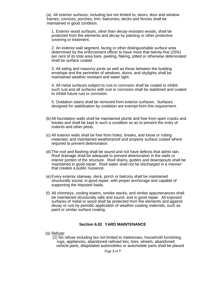(a) All exterior surfaces, including but not limited to, doors, door and window frames, cornices, porches, trim, balconies, decks and fences shall be maintained in good condition.

1. Exterior wood surfaces, other than decay-resistant woods, shall be protected from the elements and decay by painting or other protective covering or treatment.

2. An exterior wall segment, facing or other distinguishable surface area determined by the enforcement officer to have more that twenty-five (25%) per cent of its total area bare, peeling, flaking, pitted or otherwise deteriorated shall be surface coated.

3. All siding and masonry joints as well as those between the building envelope and the perimeter of windows, doors, and skylights shall be maintained weather resistant and water tight.

4. All metal surfaces subject to rust or corrosion shall be coated to inhibit such rust and all surfaces with rust or corrosion shall be stabilized and coated to inhibit future rust or corrosion.

5. Oxidation stains shall be removed from exterior surfaces. Surfaces designed for stabilization by oxidation are exempt from this requirement.

- (b) All foundation walls shall be maintained plumb and free from open cracks and breaks and shall be kept in such a condition so as to prevent the entry of rodents and other pests.
- (c) All exterior walls shall be free from holes, breaks, and loose or rotting materials; and maintained weatherproof and properly surface coated where required to prevent deterioration.
- (d) The roof and flashing shall be sound and not have defects that admit rain. Roof drainage shall be adequate to prevent deterioration in the walls or interior portion of the structure. Roof drains, gutters and downspouts shall be maintained in good repair*.* Roof water shall not be discharged in a manner that creates a public nuisance.
- (e) Every exterior stairway, deck, porch or balcony shall be maintained structurally sound, in good repair, with proper anchorage and capable of supporting the imposed loads.
- (f) All chimneys, cooling towers, smoke stacks, and similar appurtenances shall be maintained structurally safe and sound, and in good repair. All exposed surfaces of metal or wood shall be protected from the elements and against decay or rust by periodic application of weather-coating materials, such as paint or similar surface coating.

#### **Section 6.02 YARD MAINTENANCE**

(a) Refuse:

(1) No refuse including but not limited to mattresses, household furnishing, rugs, appliances, abandoned railroad ties, tires, wheels, abandoned vehicle parts, dilapidated automobiles or automobile parts shall be placed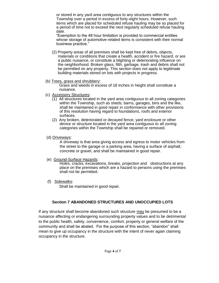or stored in any yard area contiguous to any structures within the Township over a period in excess of forty-eight hours. However, such items which are placed for scheduled refuse hauling may be so placed for a period of time not to exceed the next regularly scheduled refuse hauling date.

"Exemption to the 48 hour limitation is provided to commercial entities whose storage of automotive-related items is consistent with their normal business practice."

- (2) Property areas of all premises shall be kept free of debris, objects, materials or conditions that create a health, accident or fire hazard, or are a public nuisance, or constitute a blighting or deteriorating influence on the neighborhood. Broken glass, filth, garbage, trash and debris shall not be permitted on any property. This section does not apply to legitimate building materials stored on lots with projects in progress.
- (b) Trees, grass and shrubbery:

Grass and weeds in excess of 18 inches in height shall constitute a nuisance.

- (c) Accessory Structures:
	- (1) All structures located in the yard area contiguous to all zoning categories within the Township, such as sheds, barns, garages, bins and the like, shall be maintained in good repair in conformance with other provisions of this resolution having regard to foundations, roofs and exterior surfaces.
	- (2) Any broken, deteriorated or decayed fence, yard enclosure or other device or structure located in the yard area contiguous to all zoning categories within the Township shall be repaired or removed.
- (d) Driveways:

A driveway is that area giving access and egress to motor vehicles from the street to the garage or a parking area, having a surface of asphalt, concrete or gravel, and shall be maintained in good repair.

(e) Ground-Surface Hazards:

Holes, cracks, excavations, breaks, projection and obstructions at any place on the premises which are a hazard to persons using the premises shall not be permitted.

(f) Sidewalks:

Shall be maintained in good repair.

# **Section 7 ABANDONED STRUCTURES AND UNOCCUPIED LOTS**

If any structure shall become abandoned such structure may be presumed to be a nuisance affecting or endangering surrounding property values and to be detrimental to the public health, safety, convenience, comfort, property or general welfare of the community and shall be abated. For the purpose of this section, "abandon" shall mean to give up occupancy in the structure with the intent of never again claiming occupancy in the structure.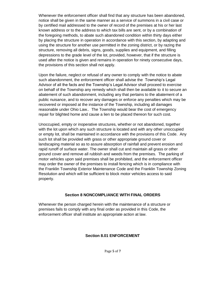Whenever the enforcement officer shall find that any structure has been abandoned, notice shall be given in the same manner as a service of summons in a civil case or by certified mail addressed to the owner of record of the premises at his or her last known address or to the address to which tax bills are sent, or by a combination of the foregoing methods, to abate such abandoned condition within thirty days either by placing the structure in operation in accordance with this section, by adapting and using the structure for another use permitted in the zoning district, or by razing the structure, removing all debris, signs, goods, supplies and equipment, and filling depressions to the grade level of the lot, provided, however, that if the structure is used after the notice is given and remains in operation for ninety consecutive days, the provisions of this section shall not apply.

Upon the failure, neglect or refusal of any owner to comply with the notice to abate such abandonment, the enforcement officer shall advise the Township's Legal Advisor of all the facts and the Township's Legal Advisor shall proceed to exercise on behalf of the Township any remedy which shall then be available to it to secure an abatement of such abandonment, including any that pertains to the abatement of a public nuisance, and to recover any damages or enforce any penalties which may be recovered or imposed at the instance of the Township, including all damages reasonable under Ohio Law.*.* The Township would bear the cost of emergency repair for blighted home and cause a lien to be placed thereon for such cost.

Unoccupied, empty or inoperative structures, whether or not abandoned, together with the lot upon which any such structure is located and with any other unoccupied or empty lot, shall be maintained in accordance with the provisions of this Code. Any such lot shall be provided with grass or other appropriate ground cover or landscaping material so as to assure absorption of rainfall and prevent erosion and rapid runoff of surface water. The owner shall cut and maintain all grass or other ground cover and remove all rubbish and weeds from the premises. The parking of motor vehicles upon said premises shall be prohibited, and the enforcement officer may order the owner of the premises to install fencing which is in compliance with the Franklin Township Exterior Maintenance Code and the Franklin Township Zoning Resolution and which will be sufficient to block motor vehicles access to said property.

#### **Section 8 NONCOMPLIANCE WITH FINAL ORDERS**

Whenever the person charged herein with the maintenance of a structure or premises fails to comply with any final order as provided in this Code, the enforcement officer shall institute an appropriate action at law.

#### **Section 8.01 ENFORCEMENT**

Page **5** of **7**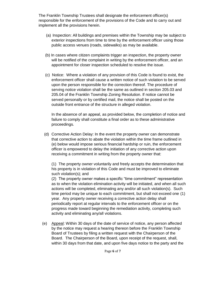The Franklin Township Trustees shall designate the enforcement officer(s) responsible for the enforcement of the provisions of the Code and to carry out and implement all the provisions herein.

- (a) Inspection: All buildings and premises within the Township may be subject to exterior inspections from time to time by the enforcement officer using those public access venues (roads, sidewalks) as may be available.
- (b) In cases where citizen complaints trigger an inspection, the property owner will be notified of the complaint in writing by the enforcement officer, and an appointment for closer inspection scheduled to resolve the issue.
- (c) Notice: Where a violation of any provision of this Code is found to exist, the enforcement officer shall cause a written notice of such violation to be served upon the person responsible for the correction thereof. The procedure of serving notice violation shall be the same as outlined in section 205.03 and 205.04 of the Franklin Township Zoning Resolution. If notice cannot be served personally or by certified mail, the notice shall be posted on the outside front entrance of the structure in alleged violation.

In the absence of an appeal, as provided below, the completion of notice and failure to comply shall constitute a final order as to these administrative proceedings.

 (d) Corrective Action Delay: In the event the property owner can demonstrate that corrective action to abate the violation within the time frame outlined in (e) below would impose serious financial hardship or ruin, the enforcement officer is empowered to delay the initiation of any corrective action upon receiving a commitment in writing from the property owner that:

(1) The property owner voluntarily and freely accepts the determination that his property is in violation of this Code and must be improved to eliminate such violation(s); and

(2) The property owner makes a specific "time commitment" representation as to when the violation elimination activity will be initiated, and when all such actions will be completed, eliminating any and/or all such violation(s). Such time period may be unique to each commitment, but shall not exceed one (1) year. Any property owner receiving a corrective action delay shall periodically report at regular intervals to the enforcement officer or on the progress made toward beginning the remediation activity, completing such activity and eliminating any/all violations.

(e) Appeal: Within 30 days of the date of service of notice, any person affected by the notice may request a hearing thereon before the Franklin Township Board of Trustees by filing a written request with the Chairperson of the Board. The Chairperson of the Board, upon receipt of the request, shall, within 30 days from that date, and upon five days notice to the party and the